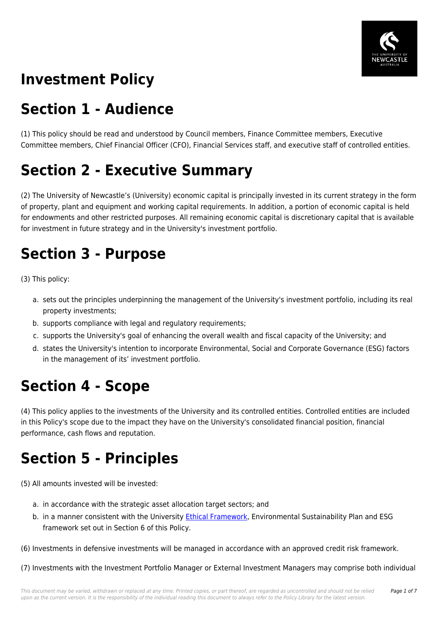

# **Investment Policy**

## **Section 1 - Audience**

(1) This policy should be read and understood by Council members, Finance Committee members, Executive Committee members, Chief Financial Officer (CFO), Financial Services staff, and executive staff of controlled entities.

# **Section 2 - Executive Summary**

(2) The University of Newcastle's (University) economic capital is principally invested in its current strategy in the form of property, plant and equipment and working capital requirements. In addition, a portion of economic capital is held for endowments and other restricted purposes. All remaining economic capital is discretionary capital that is available for investment in future strategy and in the University's investment portfolio.

## **Section 3 - Purpose**

(3) This policy:

- a. sets out the principles underpinning the management of the University's investment portfolio, including its real property investments;
- b. supports compliance with legal and regulatory requirements;
- c. supports the University's goal of enhancing the overall wealth and fiscal capacity of the University; and
- d. states the University's intention to incorporate Environmental, Social and Corporate Governance (ESG) factors in the management of its' investment portfolio.

### **Section 4 - Scope**

(4) This policy applies to the investments of the University and its controlled entities. Controlled entities are included in this Policy's scope due to the impact they have on the University's consolidated financial position, financial performance, cash flows and reputation.

### **Section 5 - Principles**

(5) All amounts invested will be invested:

- a. in accordance with the strategic asset allocation target sectors; and
- b. in a manner consistent with the University [Ethical Framework](https://policies.newcastle.edu.au/document/view-current.php?id=317), Environmental Sustainability Plan and ESG framework set out in Section 6 of this Policy.

(6) Investments in defensive investments will be managed in accordance with an approved credit risk framework.

(7) Investments with the Investment Portfolio Manager or External Investment Managers may comprise both individual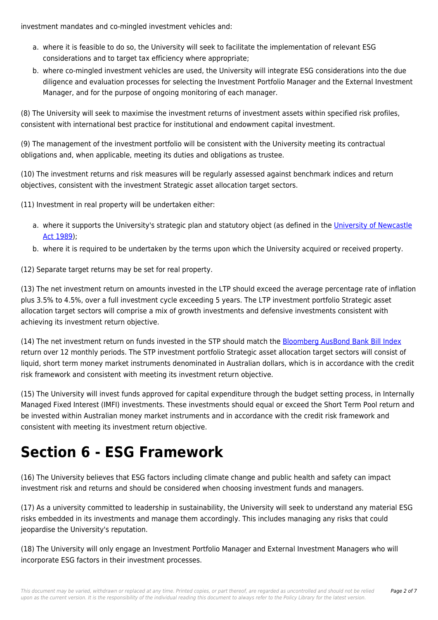investment mandates and co-mingled investment vehicles and:

- a. where it is feasible to do so, the University will seek to facilitate the implementation of relevant ESG considerations and to target tax efficiency where appropriate;
- b. where co-mingled investment vehicles are used, the University will integrate ESG considerations into the due diligence and evaluation processes for selecting the Investment Portfolio Manager and the External Investment Manager, and for the purpose of ongoing monitoring of each manager.

(8) The University will seek to maximise the investment returns of investment assets within specified risk profiles, consistent with international best practice for institutional and endowment capital investment.

(9) The management of the investment portfolio will be consistent with the University meeting its contractual obligations and, when applicable, meeting its duties and obligations as trustee.

(10) The investment returns and risk measures will be regularly assessed against benchmark indices and return objectives, consistent with the investment Strategic asset allocation target sectors.

(11) Investment in real property will be undertaken either:

- a. where it supports the University's strategic plan and statutory object (as defined in the [University of Newcastle](https://policies.newcastle.edu.au/document/view-current.php?id=12) [Act 1989\)](https://policies.newcastle.edu.au/document/view-current.php?id=12);
- b. where it is required to be undertaken by the terms upon which the University acquired or received property.

(12) Separate target returns may be set for real property.

(13) The net investment return on amounts invested in the LTP should exceed the average percentage rate of inflation plus 3.5% to 4.5%, over a full investment cycle exceeding 5 years. The LTP investment portfolio Strategic asset allocation target sectors will comprise a mix of growth investments and defensive investments consistent with achieving its investment return objective.

(14) The net investment return on funds invested in the STP should match the [Bloomberg AusBond Bank Bill Index](https://policies.newcastle.edu.au/download.php?id=166&version=1&associated) return over 12 monthly periods. The STP investment portfolio Strategic asset allocation target sectors will consist of liquid, short term money market instruments denominated in Australian dollars, which is in accordance with the credit risk framework and consistent with meeting its investment return objective.

(15) The University will invest funds approved for capital expenditure through the budget setting process, in Internally Managed Fixed Interest (IMFI) investments. These investments should equal or exceed the Short Term Pool return and be invested within Australian money market instruments and in accordance with the credit risk framework and consistent with meeting its investment return objective.

### **Section 6 - ESG Framework**

(16) The University believes that ESG factors including climate change and public health and safety can impact investment risk and returns and should be considered when choosing investment funds and managers.

(17) As a university committed to leadership in sustainability, the University will seek to understand any material ESG risks embedded in its investments and manage them accordingly. This includes managing any risks that could jeopardise the University's reputation.

(18) The University will only engage an Investment Portfolio Manager and External Investment Managers who will incorporate ESG factors in their investment processes.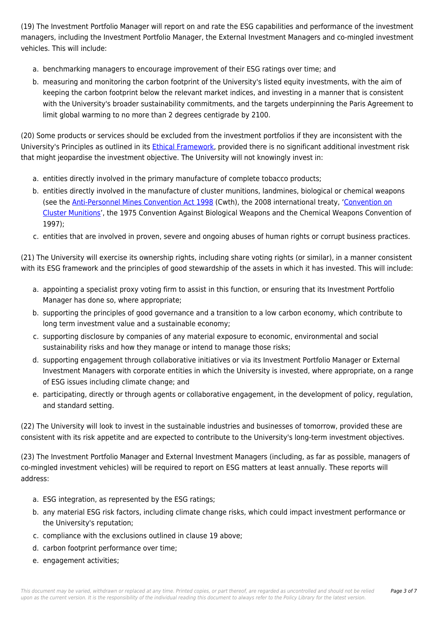(19) The Investment Portfolio Manager will report on and rate the ESG capabilities and performance of the investment managers, including the Investment Portfolio Manager, the External Investment Managers and co-mingled investment vehicles. This will include:

- a. benchmarking managers to encourage improvement of their ESG ratings over time; and
- b. measuring and monitoring the carbon footprint of the University's listed equity investments, with the aim of keeping the carbon footprint below the relevant market indices, and investing in a manner that is consistent with the University's broader sustainability commitments, and the targets underpinning the Paris Agreement to limit global warming to no more than 2 degrees centigrade by 2100.

(20) Some products or services should be excluded from the investment portfolios if they are inconsistent with the University's Principles as outlined in its [Ethical Framework,](https://policies.newcastle.edu.au/document/view-current.php?id=317) provided there is no significant additional investment risk that might jeopardise the investment objective. The University will not knowingly invest in:

- a. entities directly involved in the primary manufacture of complete tobacco products;
- b. entities directly involved in the manufacture of cluster munitions, landmines, biological or chemical weapons (see the [Anti-Personnel Mines Convention Act 1998](https://policies.newcastle.edu.au/directory-summary.php?legislation=55) (Cwth), the 2008 international treaty, '[Convention on](https://policies.newcastle.edu.au/download.php?id=167&version=1&associated) [Cluster Munitions'](https://policies.newcastle.edu.au/download.php?id=167&version=1&associated), the 1975 Convention Against Biological Weapons and the Chemical Weapons Convention of 1997);
- c. entities that are involved in proven, severe and ongoing abuses of human rights or corrupt business practices.

(21) The University will exercise its ownership rights, including share voting rights (or similar), in a manner consistent with its ESG framework and the principles of good stewardship of the assets in which it has invested. This will include:

- a. appointing a specialist proxy voting firm to assist in this function, or ensuring that its Investment Portfolio Manager has done so, where appropriate;
- b. supporting the principles of good governance and a transition to a low carbon economy, which contribute to long term investment value and a sustainable economy;
- c. supporting disclosure by companies of any material exposure to economic, environmental and social sustainability risks and how they manage or intend to manage those risks;
- d. supporting engagement through collaborative initiatives or via its Investment Portfolio Manager or External Investment Managers with corporate entities in which the University is invested, where appropriate, on a range of ESG issues including climate change; and
- e. participating, directly or through agents or collaborative engagement, in the development of policy, regulation, and standard setting.

(22) The University will look to invest in the sustainable industries and businesses of tomorrow, provided these are consistent with its risk appetite and are expected to contribute to the University's long-term investment objectives.

(23) The Investment Portfolio Manager and External Investment Managers (including, as far as possible, managers of co-mingled investment vehicles) will be required to report on ESG matters at least annually. These reports will address:

- a. ESG integration, as represented by the ESG ratings;
- b. any material ESG risk factors, including climate change risks, which could impact investment performance or the University's reputation;
- c. compliance with the exclusions outlined in clause 19 above;
- d. carbon footprint performance over time;
- e. engagement activities;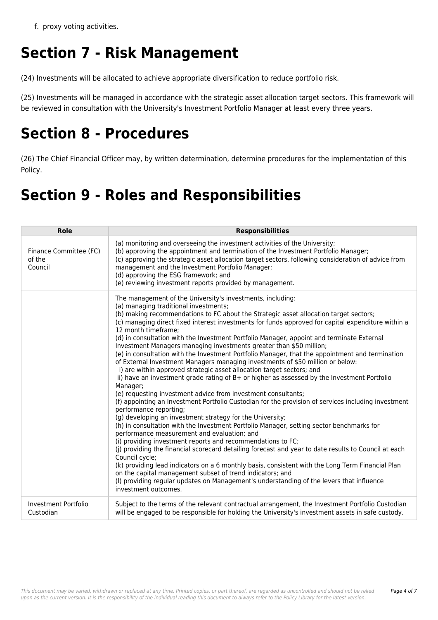f. proxy voting activities.

# **Section 7 - Risk Management**

(24) Investments will be allocated to achieve appropriate diversification to reduce portfolio risk.

(25) Investments will be managed in accordance with the strategic asset allocation target sectors. This framework will be reviewed in consultation with the University's Investment Portfolio Manager at least every three years.

### **Section 8 - Procedures**

(26) The Chief Financial Officer may, by written determination, determine procedures for the implementation of this Policy.

## **Section 9 - Roles and Responsibilities**

| Role                                        | <b>Responsibilities</b>                                                                                                                                                                                                                                                                                                                                                                                                                                                                                                                                                                                                                                                                                                                                                                                                                                                                                                                                                                                                                                                                                                                                                                                                                                                                                                                                                                                                                                                                                                                                                                                                                                                                                                                                        |  |
|---------------------------------------------|----------------------------------------------------------------------------------------------------------------------------------------------------------------------------------------------------------------------------------------------------------------------------------------------------------------------------------------------------------------------------------------------------------------------------------------------------------------------------------------------------------------------------------------------------------------------------------------------------------------------------------------------------------------------------------------------------------------------------------------------------------------------------------------------------------------------------------------------------------------------------------------------------------------------------------------------------------------------------------------------------------------------------------------------------------------------------------------------------------------------------------------------------------------------------------------------------------------------------------------------------------------------------------------------------------------------------------------------------------------------------------------------------------------------------------------------------------------------------------------------------------------------------------------------------------------------------------------------------------------------------------------------------------------------------------------------------------------------------------------------------------------|--|
| Finance Committee (FC)<br>of the<br>Council | (a) monitoring and overseeing the investment activities of the University;<br>(b) approving the appointment and termination of the Investment Portfolio Manager;<br>(c) approving the strategic asset allocation target sectors, following consideration of advice from<br>management and the Investment Portfolio Manager;<br>(d) approving the ESG framework; and<br>(e) reviewing investment reports provided by management.                                                                                                                                                                                                                                                                                                                                                                                                                                                                                                                                                                                                                                                                                                                                                                                                                                                                                                                                                                                                                                                                                                                                                                                                                                                                                                                                |  |
|                                             | The management of the University's investments, including:<br>(a) managing traditional investments;<br>(b) making recommendations to FC about the Strategic asset allocation target sectors;<br>(c) managing direct fixed interest investments for funds approved for capital expenditure within a<br>12 month timeframe;<br>(d) in consultation with the Investment Portfolio Manager, appoint and terminate External<br>Investment Managers managing investments greater than \$50 million;<br>(e) in consultation with the Investment Portfolio Manager, that the appointment and termination<br>of External Investment Managers managing investments of \$50 million or below:<br>i) are within approved strategic asset allocation target sectors; and<br>ii) have an investment grade rating of B+ or higher as assessed by the Investment Portfolio<br>Manager;<br>(e) requesting investment advice from investment consultants;<br>(f) appointing an Investment Portfolio Custodian for the provision of services including investment<br>performance reporting;<br>(g) developing an investment strategy for the University;<br>(h) in consultation with the Investment Portfolio Manager, setting sector benchmarks for<br>performance measurement and evaluation; and<br>(i) providing investment reports and recommendations to FC;<br>(j) providing the financial scorecard detailing forecast and year to date results to Council at each<br>Council cycle;<br>(k) providing lead indicators on a 6 monthly basis, consistent with the Long Term Financial Plan<br>on the capital management subset of trend indicators; and<br>(I) providing regular updates on Management's understanding of the levers that influence<br>investment outcomes. |  |
| Investment Portfolio<br>Custodian           | Subject to the terms of the relevant contractual arrangement, the Investment Portfolio Custodian<br>will be engaged to be responsible for holding the University's investment assets in safe custody.                                                                                                                                                                                                                                                                                                                                                                                                                                                                                                                                                                                                                                                                                                                                                                                                                                                                                                                                                                                                                                                                                                                                                                                                                                                                                                                                                                                                                                                                                                                                                          |  |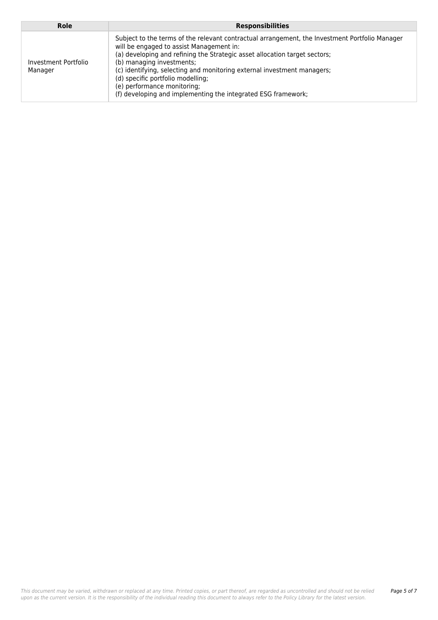| Role                            | <b>Responsibilities</b>                                                                                                                                                                                                                                                                                                                                                                                                                                               |
|---------------------------------|-----------------------------------------------------------------------------------------------------------------------------------------------------------------------------------------------------------------------------------------------------------------------------------------------------------------------------------------------------------------------------------------------------------------------------------------------------------------------|
| Investment Portfolio<br>Manager | Subject to the terms of the relevant contractual arrangement, the Investment Portfolio Manager<br>will be engaged to assist Management in:<br>(a) developing and refining the Strategic asset allocation target sectors;<br>(b) managing investments;<br>(c) identifying, selecting and monitoring external investment managers;<br>(d) specific portfolio modelling;<br>(e) performance monitoring;<br>(f) developing and implementing the integrated ESG framework; |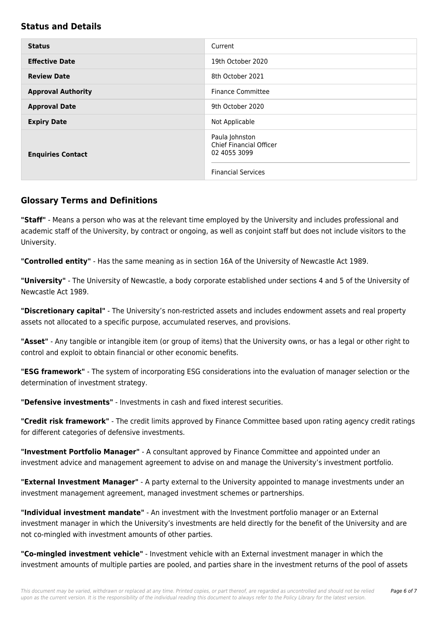#### **Status and Details**

| <b>Status</b>             | Current                                                                                       |
|---------------------------|-----------------------------------------------------------------------------------------------|
| <b>Effective Date</b>     | 19th October 2020                                                                             |
| <b>Review Date</b>        | 8th October 2021                                                                              |
| <b>Approval Authority</b> | <b>Finance Committee</b>                                                                      |
| <b>Approval Date</b>      | 9th October 2020                                                                              |
| <b>Expiry Date</b>        | Not Applicable                                                                                |
| <b>Enquiries Contact</b>  | Paula Johnston<br><b>Chief Financial Officer</b><br>02 4055 3099<br><b>Financial Services</b> |

#### **Glossary Terms and Definitions**

**"Staff"** - Means a person who was at the relevant time employed by the University and includes professional and academic staff of the University, by contract or ongoing, as well as conjoint staff but does not include visitors to the University.

**"Controlled entity"** - Has the same meaning as in section 16A of the University of Newcastle Act 1989.

**"University"** - The University of Newcastle, a body corporate established under sections 4 and 5 of the University of Newcastle Act 1989.

**"Discretionary capital"** - The University's non-restricted assets and includes endowment assets and real property assets not allocated to a specific purpose, accumulated reserves, and provisions.

**"Asset"** - Any tangible or intangible item (or group of items) that the University owns, or has a legal or other right to control and exploit to obtain financial or other economic benefits.

**"ESG framework"** - The system of incorporating ESG considerations into the evaluation of manager selection or the determination of investment strategy.

**"Defensive investments"** - Investments in cash and fixed interest securities.

**"Credit risk framework"** - The credit limits approved by Finance Committee based upon rating agency credit ratings for different categories of defensive investments.

**"Investment Portfolio Manager"** - A consultant approved by Finance Committee and appointed under an investment advice and management agreement to advise on and manage the University's investment portfolio.

**"External Investment Manager"** - A party external to the University appointed to manage investments under an investment management agreement, managed investment schemes or partnerships.

**"Individual investment mandate"** - An investment with the Investment portfolio manager or an External investment manager in which the University's investments are held directly for the benefit of the University and are not co-mingled with investment amounts of other parties.

**"Co-mingled investment vehicle"** - Investment vehicle with an External investment manager in which the investment amounts of multiple parties are pooled, and parties share in the investment returns of the pool of assets